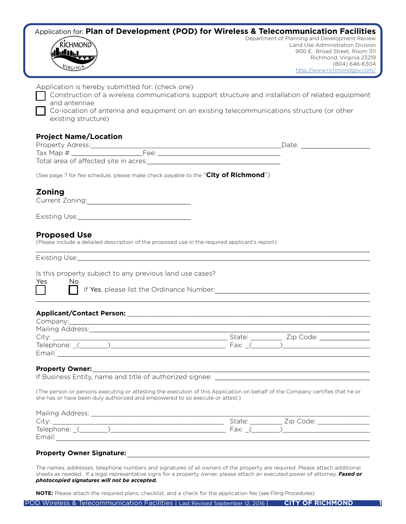## Application for: **Plan of Development (POD) for Wireless & Telecommunication Facilities**



Department of Planning and Development Review Land Use Administration Division 900 E. Broad Street, Room 511 Richmond, Virginia 23219 (804) 646-6304 <http://www.richmondgov.com/>

| Application is hereby submitted for: (check one)<br>Construction of a wireless communications support structure and installation of related equipment<br>and antennae<br>Co-location of antenna and equipment on an existing telecommunications structure (or other<br>existing structure)                                                    |                                                                                                                        |
|-----------------------------------------------------------------------------------------------------------------------------------------------------------------------------------------------------------------------------------------------------------------------------------------------------------------------------------------------|------------------------------------------------------------------------------------------------------------------------|
| <b>Project Name/Location</b>                                                                                                                                                                                                                                                                                                                  |                                                                                                                        |
| (See page 7 for fee schedule, please make check payable to the "City of Richmond")                                                                                                                                                                                                                                                            |                                                                                                                        |
| Zoning<br>Current Zoning: 2000 Current 2001 Current 2001                                                                                                                                                                                                                                                                                      |                                                                                                                        |
| Existing Use: Management Control of Table 1 and 2014                                                                                                                                                                                                                                                                                          |                                                                                                                        |
| <b>Proposed Use</b><br>(Please include a detailed description of the proposed use in the required applicant's report)                                                                                                                                                                                                                         |                                                                                                                        |
| <u> 1989 - Johann Stoff, amerikansk politiker (* 1908)</u>                                                                                                                                                                                                                                                                                    |                                                                                                                        |
| Is this property subject to any previous land use cases?<br>Yes<br>No<br>If Yes, please list the Ordinance Number: Manual Assembly of the Museum of the Contract of the Contract of the Contract of the Contract of the Contract of the Contract of the Contract of the Contract of the Contract of the                                       |                                                                                                                        |
| Company: company: company: company: company: company: company: company: company: company: company: company: company: company: company: company: company: company: company: company: company: company: company: company: compan                                                                                                                |                                                                                                                        |
| Mailing Address: Mail and Mail and Mail and Mail and Mail and Mail and Mail and Mail and Mail and Mail and Mail                                                                                                                                                                                                                               |                                                                                                                        |
|                                                                                                                                                                                                                                                                                                                                               |                                                                                                                        |
| Property Owner: New York Property Owner:<br>If Business Entity, name and title of authorized signee: _______________________<br>(The person or persons executing or attesting the execution of this Application on behalf of the Company certifies that he or<br>she has or have been duly authorized and empowered to so execute or attest.) | <u> 1989 - Johann Stoff, deutscher Stoffen und der Stoffen und der Stoffen und der Stoffen und der Stoffen und der</u> |

| Mailing Address: |                     |
|------------------|---------------------|
| City             | State:<br>Zip Code: |
| Telephone:       | Fax:                |
| Email.           |                     |

#### **Property Owner Signature:**

The names, addresses, telephone numbers and signatures of all owners of the property are required. Please attach additional sheets as needed. If a legal representative signs for a property owner, please attach an executed power of attorney. *Faxed or photocopied signatures will not be accepted.* 

**NOTE:** Please attach the required plans, checklist, and a check for the application fee (see Filing Procedures)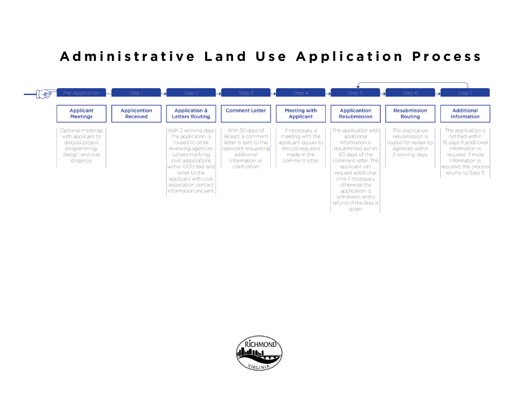# **Administrative Land Use Application Process**



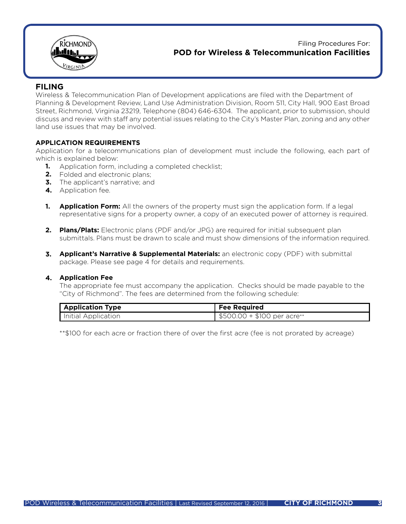

Filing Procedures For: **POD for Wireless & Telecommunication Facilities** 

### **FILING**

Wireless & Telecommunication Plan of Development applications are filed with the Department of Planning & Development Review, Land Use Administration Division, Room 511, City Hall, 900 East Broad Street, Richmond, Virginia 23219, Telephone (804) 646-6304. The applicant, prior to submission, should discuss and review with staff any potential issues relating to the City's Master Plan, zoning and any other land use issues that may be involved.

#### **APPLICATION REQUIREMENTS**

Application for a telecommunications plan of development must include the following, each part of which is explained below:

- Application form, including a completed checklist; **1.**
- Folded and electronic plans; **2.**
- **3.** The applicant's narrative; and
- 4. Application fee.
- **Application Form:** All the owners of the property must sign the application form. If a legal **1.** representative signs for a property owner, a copy of an executed power of attorney is required.
- **Plans/Plats:** Electronic plans (PDF and/or JPG) are required for initial subsequent plan **2.** submittals. Plans must be drawn to scale and must show dimensions of the information required.
- **Applicant's Narrative & Supplemental Materials:** an electronic copy (PDF) with submittal **3.** package. Please see page 4 for details and requirements.

#### **Application Fee 4.**

The appropriate fee must accompany the application. Checks should be made payable to the "City of Richmond". The fees are determined from the following schedule:

| <b>Application Type</b> | <b>Fee Required</b>         |
|-------------------------|-----------------------------|
| Initial Application     | $$500.00 + $100$ per acre** |

\*\*\$100 for each acre or fraction there of over the first acre (fee is not prorated by acreage)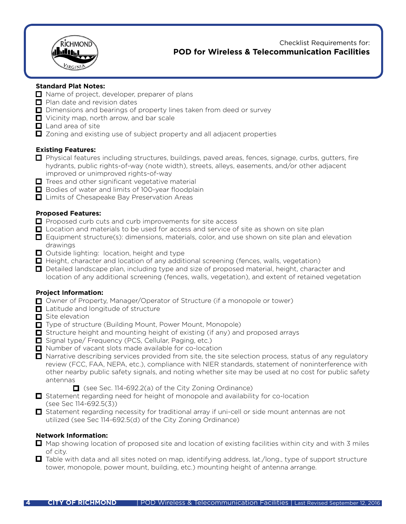

 Checklist Requirements for: **POD for Wireless & Telecommunication Facilities** 

#### **Standard Plat Notes:**

- Name of project, developer, preparer of plans
- $\Box$  Plan date and revision dates
- $\Box$  Dimensions and bearings of property lines taken from deed or survey
- Vicinity map, north arrow, and bar scale
- $\Box$  Land area of site
- $\Box$  Zoning and existing use of subject property and all adjacent properties

#### **Existing Features:**

- $\Box$  Physical features including structures, buildings, paved areas, fences, signage, curbs, gutters, fire hydrants, public rights-of-way (note width), streets, alleys, easements, and/or other adjacent improved or unimproved rights-of-way
- $\Box$  Trees and other significant vegetative material
- Bodies of water and limits of 100-year floodplain
- $\Box$  Limits of Chesapeake Bay Preservation Areas

#### **Proposed Features:**

- $\Box$  Proposed curb cuts and curb improvements for site access
- $\Box$  Location and materials to be used for access and service of site as shown on site plan
- $\Box$  Equipment structure(s): dimensions, materials, color, and use shown on site plan and elevation drawings
- $\Box$  Outside lighting: location, height and type
- $\Box$  Height, character and location of any additional screening (fences, walls, vegetation)
- $\Box$  Detailed landscape plan, including type and size of proposed material, height, character and location of any additional screening (fences, walls, vegetation), and extent of retained vegetation

#### **Project Information:**

- □ Owner of Property, Manager/Operator of Structure (if a monopole or tower)
- **□** Latitude and longitude of structure
- Site elevation
- **□** Type of structure (Building Mount, Power Mount, Monopole)
- $\Box$  Structure height and mounting height of existing (if any) and proposed arrays
- Signal type/ Frequency (PCS, Cellular, Paging, etc.)
- Number of vacant slots made available for co-location
- $\Box$  Narrative describing services provided from site, the site selection process, status of any regulatory review (FCC, FAA, NEPA, etc.), compliance with NIER standards, statement of noninterference with other nearby public safety signals, and noting whether site may be used at no cost for public safety antennas
	- $\Box$  (see Sec. 114-692.2(a) of the City Zoning Ordinance)
- $\Box$  Statement regarding need for height of monopole and availability for co-location (see Sec 114-692.5(3))
- $\Box$  Statement regarding necessity for traditional array if uni-cell or side mount antennas are not utilized (see Sec 114-692.5(d) of the City Zoning Ordinance)

#### **Network Information:**

- $\Box$  Map showing location of proposed site and location of existing facilities within city and with 3 miles of city.
- $\Box$  Table with data and all sites noted on map, identifying address, lat./long., type of support structure tower, monopole, power mount, building, etc.) mounting height of antenna arrange.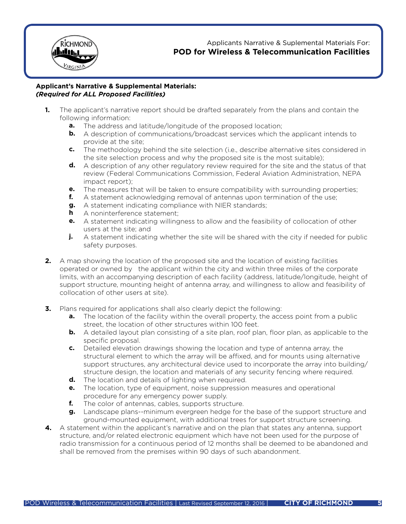

Applicants Narrative & Suplemental Materials For: **POD for Wireless & Telecommunication Facilities** 

#### **Applicant's Narrative & Supplemental Materials:** *(Required for ALL Proposed Facilities)*

- The applicant's narrative report should be drafted separately from the plans and contain the following information: **1.**
- **a.** The address and latitude/longitude of the proposed location;
- **b.** A description of communications/broadcast services which the applicant intends to provide at the site;
	- The methodology behind the site selection (i.e., describe alternative sites considered in the site selection process and why the proposed site is the most suitable); **c.**
- **d.** A description of any other regulatory review required for the site and the status of that review (Federal Communications Commission, Federal Aviation Administration, NEPA impact report);
	- The measures that will be taken to ensure compatibility with surrounding properties; **e.**
	- A statement acknowledging removal of antennas upon termination of the use; **f.**
- **g.** A statement indicating compliance with NIER standards;
	- A noninterference statement; **h**
- **e.** A statement indicating willingness to allow and the feasibility of collocation of other users at the site; and
	- A statement indicating whether the site will be shared with the city if needed for public safety purposes. **j.**
	- A map showing the location of the proposed site and the location of existing facilities **2.** operated or owned by the applicant within the city and within three miles of the corporate limits, with an accompanying description of each facility (address, latitude/longitude, height of support structure, mounting height of antenna array, and willingness to allow and feasibility of collocation of other users at site).
	- Plans required for applications shall also clearly depict the following: **3.**
- **a.** The location of the facility within the overall property, the access point from a public street, the location of other structures within 100 feet.
- **b.** A detailed layout plan consisting of a site plan, roof plan, floor plan, as applicable to the specific proposal.
- **c.** Detailed elevation drawings showing the location and type of antenna array, the structural element to which the array will be affixed, and for mounts using alternative support structures, any architectural device used to incorporate the array into building/ structure design, the location and materials of any security fencing where required.
- **d.** The location and details of lighting when required.
- **e.** The location, type of equipment, noise suppression measures and operational procedure for any emergency power supply.
	- The color of antennas, cables, supports structure. **f.**
- **g.** Landscape plans--minimum evergreen hedge for the base of the support structure and ground-mounted equipment, with additional trees for support structure screening.
	- A statement within the applicant's narrative and on the plan that states any antenna, support **4.** structure, and/or related electronic equipment which have not been used for the purpose of radio transmission for a continuous period of 12 months shall be deemed to be abandoned and shall be removed from the premises within 90 days of such abandonment.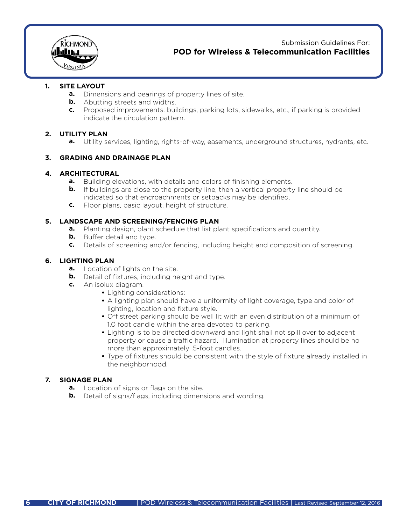

Submission Guidelines For: **POD for Wireless & Telecommunication Facilities** 

#### **SITE LAYOUT 1.**

- **a.** Dimensions and bearings of property lines of site.
- **b.** Abutting streets and widths.
- **c.** Proposed improvements: buildings, parking lots, sidewalks, etc., if parking is provided indicate the circulation pattern.

#### **UTILITY PLAN 2.**

**a.** Utility services, lighting, rights-of-way, easements, underground structures, hydrants, etc.

#### **GRADING AND DRAINAGE PLAN 3.**

#### **ARCHITECTURAL 4.**

- **a.** Building elevations, with details and colors of finishing elements.
	- If buildings are close to the property line, then a vertical property line should be indicated so that encroachments or setbacks may be identified. **b.**
- **c.** Floor plans, basic layout, height of structure.

#### **LANDSCAPE AND SCREENING/FENCING PLAN 5.**

- **a.** Planting design, plant schedule that list plant specifications and quantity.
- **b.** Buffer detail and type.
- **c.** Details of screening and/or fencing, including height and composition of screening.

#### **LIGHTING PLAN 6.**

- **a.** Location of lights on the site.
- **b.** Detail of fixtures, including height and type.
- **c.** An isolux diagram.
- Lighting considerations: **•**
- A lighting plan should have a uniformity of light coverage, type and color of lighting, location and fixture style.
- Off street parking should be well lit with an even distribution of a minimum of **•** 1.0 foot candle within the area devoted to parking.
- Lighting is to be directed downward and light shall not spill over to adjacent **•** property or cause a traffic hazard. Illumination at property lines should be no more than approximately .5-foot candles.
- Type of fixtures should be consistent with the style of fixture already installed in the neighborhood.

#### **SIGNAGE PLAN 7.**

- **a.** Location of signs or flags on the site.
- **b.** Detail of signs/flags, including dimensions and wording.